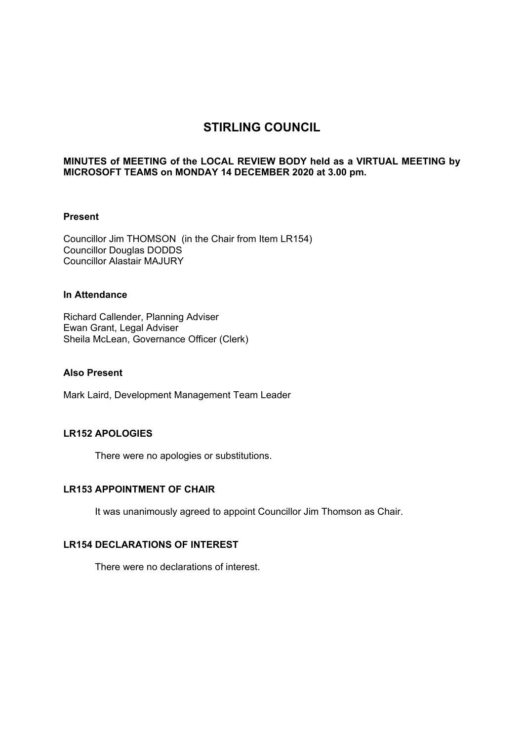# **STIRLING COUNCIL**

### **MINUTES of MEETING of the LOCAL REVIEW BODY held as a VIRTUAL MEETING by MICROSOFT TEAMS on MONDAY 14 DECEMBER 2020 at 3.00 pm.**

#### **Present**

Councillor Jim THOMSON (in the Chair from Item LR154) Councillor Douglas DODDS Councillor Alastair MAJURY

#### **In Attendance**

Richard Callender, Planning Adviser Ewan Grant, Legal Adviser Sheila McLean, Governance Officer (Clerk)

#### **Also Present**

Mark Laird, Development Management Team Leader

## **LR152 APOLOGIES**

There were no apologies or substitutions.

## **LR153 APPOINTMENT OF CHAIR**

It was unanimously agreed to appoint Councillor Jim Thomson as Chair.

## **LR154 DECLARATIONS OF INTEREST**

There were no declarations of interest.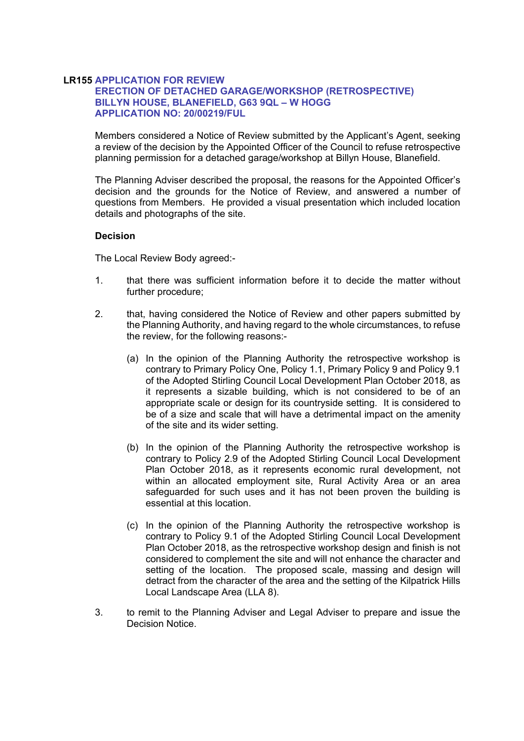#### **LR155 APPLICATION FOR REVIEW ERECTION OF DETACHED GARAGE/WORKSHOP (RETROSPECTIVE) BILLYN HOUSE, BLANEFIELD, G63 9QL – W HOGG APPLICATION NO: 20/00219/FUL**

Members considered a Notice of Review submitted by the Applicant's Agent, seeking a review of the decision by the Appointed Officer of the Council to refuse retrospective planning permission for a detached garage/workshop at Billyn House, Blanefield.

The Planning Adviser described the proposal, the reasons for the Appointed Officer's decision and the grounds for the Notice of Review, and answered a number of questions from Members. He provided a visual presentation which included location details and photographs of the site.

### **Decision**

The Local Review Body agreed:-

- 1. that there was sufficient information before it to decide the matter without further procedure;
- 2. that, having considered the Notice of Review and other papers submitted by the Planning Authority, and having regard to the whole circumstances, to refuse the review, for the following reasons:-
	- (a) In the opinion of the Planning Authority the retrospective workshop is contrary to Primary Policy One, Policy 1.1, Primary Policy 9 and Policy 9.1 of the Adopted Stirling Council Local Development Plan October 2018, as it represents a sizable building, which is not considered to be of an appropriate scale or design for its countryside setting. It is considered to be of a size and scale that will have a detrimental impact on the amenity of the site and its wider setting.
	- (b) In the opinion of the Planning Authority the retrospective workshop is contrary to Policy 2.9 of the Adopted Stirling Council Local Development Plan October 2018, as it represents economic rural development, not within an allocated employment site, Rural Activity Area or an area safeguarded for such uses and it has not been proven the building is essential at this location.
	- (c) In the opinion of the Planning Authority the retrospective workshop is contrary to Policy 9.1 of the Adopted Stirling Council Local Development Plan October 2018, as the retrospective workshop design and finish is not considered to complement the site and will not enhance the character and setting of the location. The proposed scale, massing and design will detract from the character of the area and the setting of the Kilpatrick Hills Local Landscape Area (LLA 8).
- 3. to remit to the Planning Adviser and Legal Adviser to prepare and issue the Decision Notice.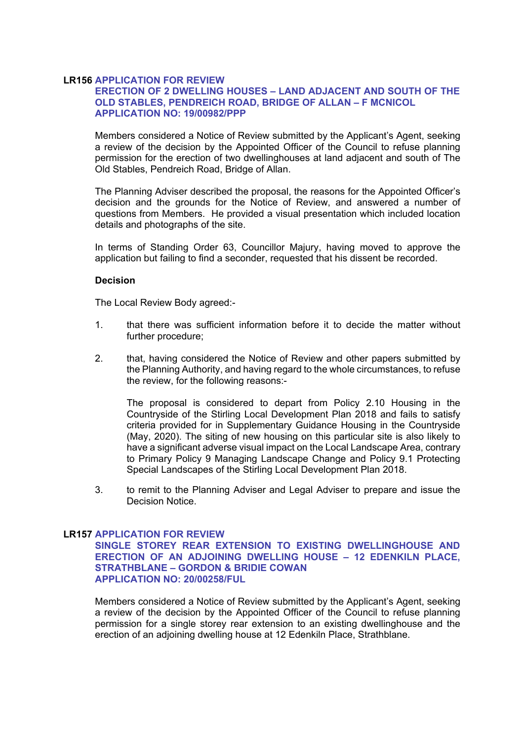#### **LR156 APPLICATION FOR REVIEW**

## **ERECTION OF 2 DWELLING HOUSES – LAND ADJACENT AND SOUTH OF THE OLD STABLES, PENDREICH ROAD, BRIDGE OF ALLAN – F MCNICOL APPLICATION NO: 19/00982/PPP**

Members considered a Notice of Review submitted by the Applicant's Agent, seeking a review of the decision by the Appointed Officer of the Council to refuse planning permission for the erection of two dwellinghouses at land adjacent and south of The Old Stables, Pendreich Road, Bridge of Allan.

The Planning Adviser described the proposal, the reasons for the Appointed Officer's decision and the grounds for the Notice of Review, and answered a number of questions from Members. He provided a visual presentation which included location details and photographs of the site.

In terms of Standing Order 63, Councillor Majury, having moved to approve the application but failing to find a seconder, requested that his dissent be recorded.

#### **Decision**

The Local Review Body agreed:-

- 1. that there was sufficient information before it to decide the matter without further procedure;
- 2. that, having considered the Notice of Review and other papers submitted by the Planning Authority, and having regard to the whole circumstances, to refuse the review, for the following reasons:-

The proposal is considered to depart from Policy 2.10 Housing in the Countryside of the Stirling Local Development Plan 2018 and fails to satisfy criteria provided for in Supplementary Guidance Housing in the Countryside (May, 2020). The siting of new housing on this particular site is also likely to have a significant adverse visual impact on the Local Landscape Area, contrary to Primary Policy 9 Managing Landscape Change and Policy 9.1 Protecting Special Landscapes of the Stirling Local Development Plan 2018.

3. to remit to the Planning Adviser and Legal Adviser to prepare and issue the Decision Notice.

#### **LR157 APPLICATION FOR REVIEW**

**SINGLE STOREY REAR EXTENSION TO EXISTING DWELLINGHOUSE AND ERECTION OF AN ADJOINING DWELLING HOUSE – 12 EDENKILN PLACE, STRATHBLANE – GORDON & BRIDIE COWAN APPLICATION NO: 20/00258/FUL** 

Members considered a Notice of Review submitted by the Applicant's Agent, seeking a review of the decision by the Appointed Officer of the Council to refuse planning permission for a single storey rear extension to an existing dwellinghouse and the erection of an adjoining dwelling house at 12 Edenkiln Place, Strathblane.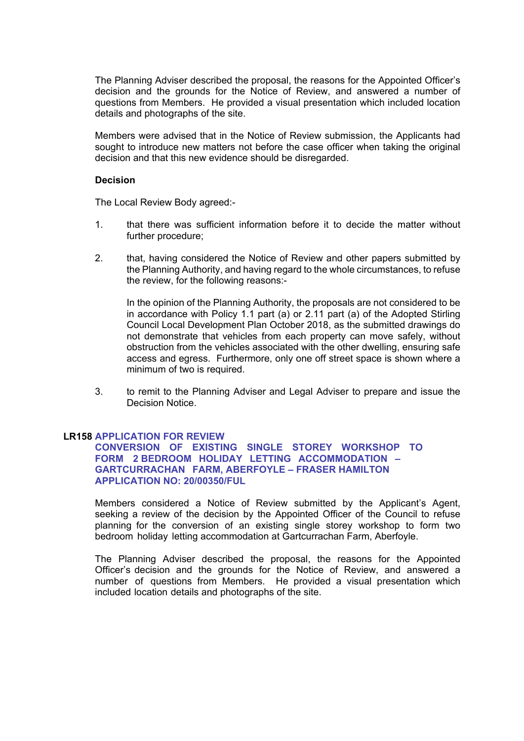The Planning Adviser described the proposal, the reasons for the Appointed Officer's decision and the grounds for the Notice of Review, and answered a number of questions from Members. He provided a visual presentation which included location details and photographs of the site.

Members were advised that in the Notice of Review submission, the Applicants had sought to introduce new matters not before the case officer when taking the original decision and that this new evidence should be disregarded.

#### **Decision**

The Local Review Body agreed:-

- 1. that there was sufficient information before it to decide the matter without further procedure;
- 2. that, having considered the Notice of Review and other papers submitted by the Planning Authority, and having regard to the whole circumstances, to refuse the review, for the following reasons:-

In the opinion of the Planning Authority, the proposals are not considered to be in accordance with Policy 1.1 part (a) or 2.11 part (a) of the Adopted Stirling Council Local Development Plan October 2018, as the submitted drawings do not demonstrate that vehicles from each property can move safely, without obstruction from the vehicles associated with the other dwelling, ensuring safe access and egress. Furthermore, only one off street space is shown where a minimum of two is required.

3. to remit to the Planning Adviser and Legal Adviser to prepare and issue the Decision Notice.

#### **LR158 APPLICATION FOR REVIEW**

**CONVERSION OF EXISTING SINGLE STOREY WORKSHOP TO FORM 2 BEDROOM HOLIDAY LETTING ACCOMMODATION – GARTCURRACHAN FARM, ABERFOYLE – FRASER HAMILTON APPLICATION NO: 20/00350/FUL** 

Members considered a Notice of Review submitted by the Applicant's Agent, seeking a review of the decision by the Appointed Officer of the Council to refuse planning for the conversion of an existing single storey workshop to form two bedroom holiday letting accommodation at Gartcurrachan Farm, Aberfoyle.

The Planning Adviser described the proposal, the reasons for the Appointed Officer's decision and the grounds for the Notice of Review, and answered a number of questions from Members. He provided a visual presentation which included location details and photographs of the site.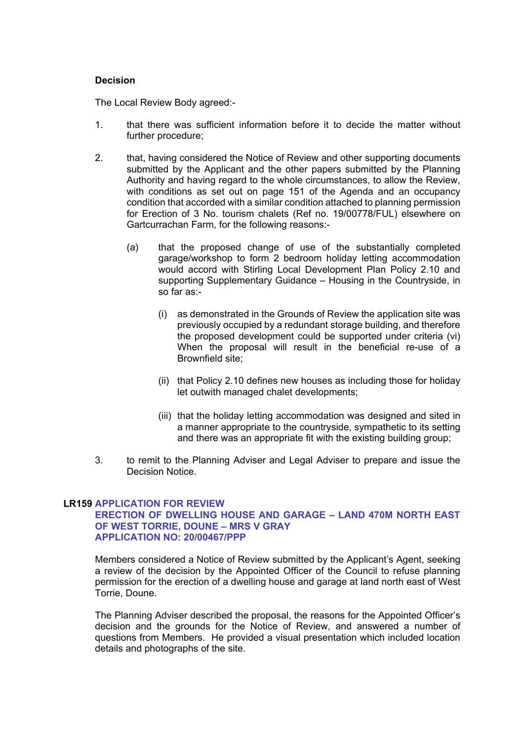#### **Decision**

The Local Review Body agreed:-

- 1. that there was sufficient information before it to decide the matter without further procedure;
- 2. that, having considered the Notice of Review and other supporting documents submitted by the Applicant and the other papers submitted by the Planning Authority and having regard to the whole circumstances, to allow the Review, with conditions as set out on page 151 of the Agenda and an occupancy condition that accorded with a similar condition attached to planning permission for Erection of 3 No. tourism chalets (Ref no. 19/00778/FUL) elsewhere on Gartcurrachan Farm, for the following reasons:-
	- (a) that the proposed change of use of the substantially completed garage/workshop to form 2 bedroom holiday letting accommodation would accord with Stirling Local Development Plan Policy 2.10 and supporting Supplementary Guidance – Housing in the Countryside, in so far as:-
		- (i) as demonstrated in the Grounds of Review the application site was previously occupied by a redundant storage building, and therefore the proposed development could be supported under criteria (vi) When the proposal will result in the beneficial re-use of a Brownfield site;
		- (ii) that Policy 2.10 defines new houses as including those for holiday let outwith managed chalet developments;
		- (iii) that the holiday letting accommodation was designed and sited in a manner appropriate to the countryside, sympathetic to its setting and there was an appropriate fit with the existing building group;
- 3. to remit to the Planning Adviser and Legal Adviser to prepare and issue the Decision Notice.

## **LR159 APPLICATION FOR REVIEW**

#### **ERECTION OF DWELLING HOUSE AND GARAGE – LAND 470M NORTH EAST OF WEST TORRIE, DOUNE – MRS V GRAY APPLICATION NO: 20/00467/PPP**

Members considered a Notice of Review submitted by the Applicant's Agent, seeking a review of the decision by the Appointed Officer of the Council to refuse planning permission for the erection of a dwelling house and garage at land north east of West Torrie, Doune.

The Planning Adviser described the proposal, the reasons for the Appointed Officer's decision and the grounds for the Notice of Review, and answered a number of questions from Members. He provided a visual presentation which included location details and photographs of the site.